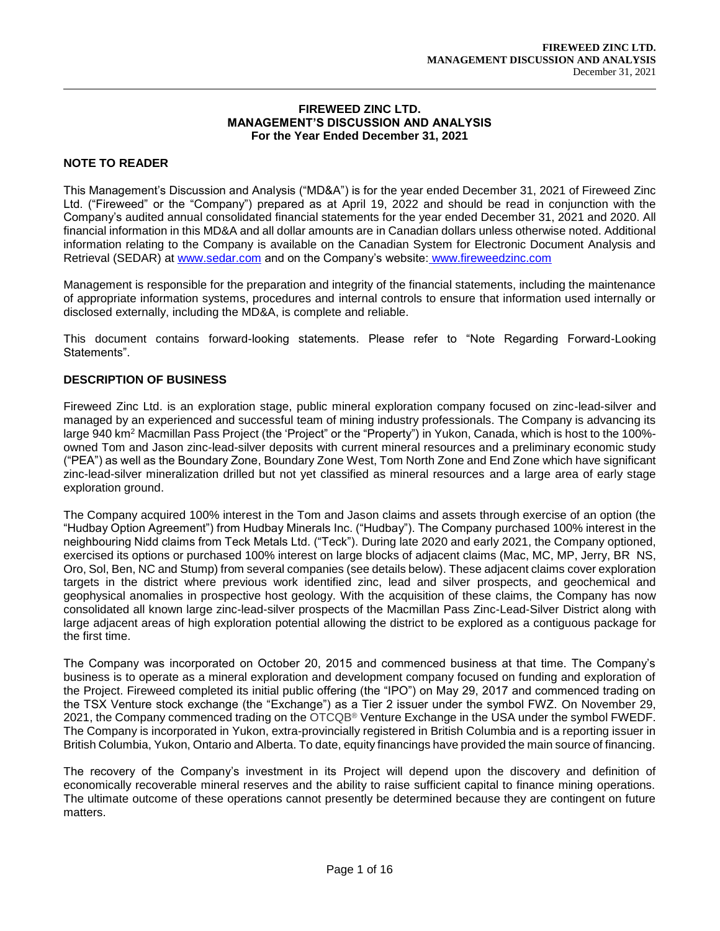#### **FIREWEED ZINC LTD. MANAGEMENT'S DISCUSSION AND ANALYSIS For the Year Ended December 31, 2021**

### **NOTE TO READER**

This Management's Discussion and Analysis ("MD&A") is for the year ended December 31, 2021 of Fireweed Zinc Ltd. ("Fireweed" or the "Company") prepared as at April 19, 2022 and should be read in conjunction with the Company's audited annual consolidated financial statements for the year ended December 31, 2021 and 2020. All financial information in this MD&A and all dollar amounts are in Canadian dollars unless otherwise noted. Additional information relating to the Company is available on the Canadian System for Electronic Document Analysis and Retrieval (SEDAR) at [www.sedar.com](about:blank) and on the Company's website: www.fireweedzinc.com

Management is responsible for the preparation and integrity of the financial statements, including the maintenance of appropriate information systems, procedures and internal controls to ensure that information used internally or disclosed externally, including the MD&A, is complete and reliable.

This document contains forward-looking statements. Please refer to "Note Regarding Forward-Looking Statements".

## **DESCRIPTION OF BUSINESS**

Fireweed Zinc Ltd. is an exploration stage, public mineral exploration company focused on zinc-lead-silver and managed by an experienced and successful team of mining industry professionals. The Company is advancing its large 940 km<sup>2</sup> Macmillan Pass Project (the 'Project" or the "Property") in Yukon, Canada, which is host to the 100% owned Tom and Jason zinc-lead-silver deposits with current mineral resources and a preliminary economic study ("PEA") as well as the Boundary Zone, Boundary Zone West, Tom North Zone and End Zone which have significant zinc-lead-silver mineralization drilled but not yet classified as mineral resources and a large area of early stage exploration ground.

The Company acquired 100% interest in the Tom and Jason claims and assets through exercise of an option (the "Hudbay Option Agreement") from Hudbay Minerals Inc. ("Hudbay"). The Company purchased 100% interest in the neighbouring Nidd claims from Teck Metals Ltd. ("Teck"). During late 2020 and early 2021, the Company optioned, exercised its options or purchased 100% interest on large blocks of adjacent claims (Mac, MC, MP, Jerry, BR NS, Oro, Sol, Ben, NC and Stump) from several companies (see details below). These adjacent claims cover exploration targets in the district where previous work identified zinc, lead and silver prospects, and geochemical and geophysical anomalies in prospective host geology. With the acquisition of these claims, the Company has now consolidated all known large zinc-lead-silver prospects of the Macmillan Pass Zinc-Lead-Silver District along with large adjacent areas of high exploration potential allowing the district to be explored as a contiguous package for the first time.

The Company was incorporated on October 20, 2015 and commenced business at that time. The Company's business is to operate as a mineral exploration and development company focused on funding and exploration of the Project. Fireweed completed its initial public offering (the "IPO") on May 29, 2017 and commenced trading on the TSX Venture stock exchange (the "Exchange") as a Tier 2 issuer under the symbol FWZ. On November 29, 2021, the Company commenced trading on the OTCQB® Venture Exchange in the USA under the symbol FWEDF. The Company is incorporated in Yukon, extra-provincially registered in British Columbia and is a reporting issuer in British Columbia, Yukon, Ontario and Alberta. To date, equity financings have provided the main source of financing.

The recovery of the Company's investment in its Project will depend upon the discovery and definition of economically recoverable mineral reserves and the ability to raise sufficient capital to finance mining operations. The ultimate outcome of these operations cannot presently be determined because they are contingent on future matters.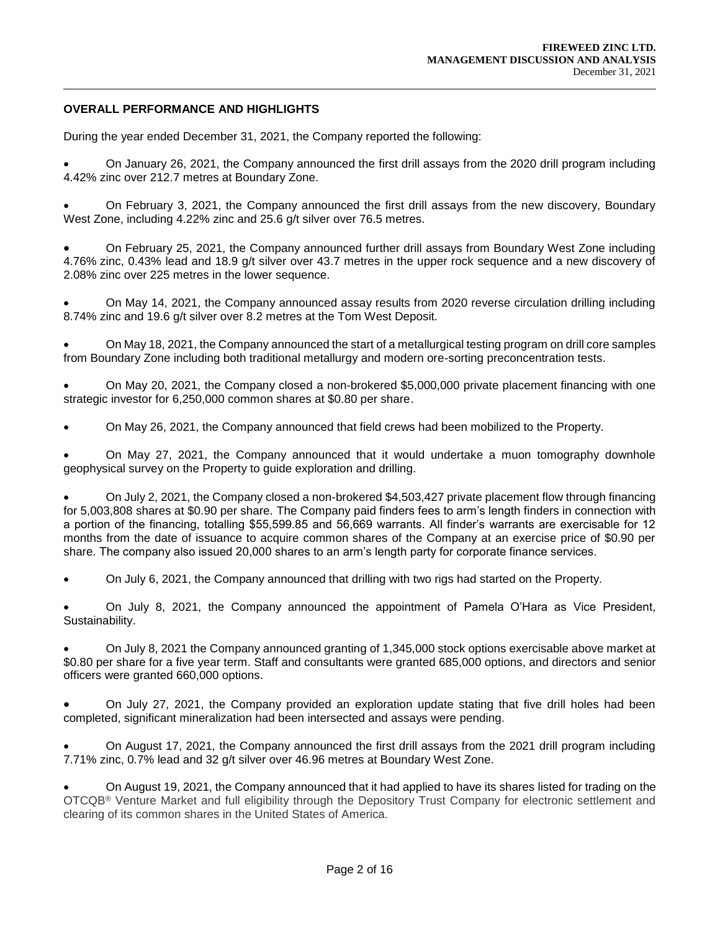### **OVERALL PERFORMANCE AND HIGHLIGHTS**

During the year ended December 31, 2021, the Company reported the following:

 On January 26, 2021, the Company announced the first drill assays from the 2020 drill program including 4.42% zinc over 212.7 metres at Boundary Zone.

 On February 3, 2021, the Company announced the first drill assays from the new discovery, Boundary West Zone, including 4.22% zinc and 25.6 g/t silver over 76.5 metres.

 On February 25, 2021, the Company announced further drill assays from Boundary West Zone including 4.76% zinc, 0.43% lead and 18.9 g/t silver over 43.7 metres in the upper rock sequence and a new discovery of 2.08% zinc over 225 metres in the lower sequence.

 On May 14, 2021, the Company announced assay results from 2020 reverse circulation drilling including 8.74% zinc and 19.6 g/t silver over 8.2 metres at the Tom West Deposit.

 On May 18, 2021, the Company announced the start of a metallurgical testing program on drill core samples from Boundary Zone including both traditional metallurgy and modern ore-sorting preconcentration tests.

 On May 20, 2021, the Company closed a non-brokered \$5,000,000 private placement financing with one strategic investor for 6,250,000 common shares at \$0.80 per share.

On May 26, 2021, the Company announced that field crews had been mobilized to the Property.

 On May 27, 2021, the Company announced that it would undertake a muon tomography downhole geophysical survey on the Property to guide exploration and drilling.

 On July 2, 2021, the Company closed a non-brokered \$4,503,427 private placement flow through financing for 5,003,808 shares at \$0.90 per share. The Company paid finders fees to arm's length finders in connection with a portion of the financing, totalling \$55,599.85 and 56,669 warrants. All finder's warrants are exercisable for 12 months from the date of issuance to acquire common shares of the Company at an exercise price of \$0.90 per share. The company also issued 20,000 shares to an arm's length party for corporate finance services.

On July 6, 2021, the Company announced that drilling with two rigs had started on the Property.

 On July 8, 2021, the Company announced the appointment of Pamela O'Hara as Vice President, Sustainability.

 On July 8, 2021 the Company announced granting of 1,345,000 stock options exercisable above market at \$0.80 per share for a five year term. Staff and consultants were granted 685,000 options, and directors and senior officers were granted 660,000 options.

 On July 27, 2021, the Company provided an exploration update stating that five drill holes had been completed, significant mineralization had been intersected and assays were pending.

 On August 17, 2021, the Company announced the first drill assays from the 2021 drill program including 7.71% zinc, 0.7% lead and 32 g/t silver over 46.96 metres at Boundary West Zone.

 On August 19, 2021, the Company announced that it had applied to have its shares listed for trading on the OTCQB® Venture Market and full eligibility through the Depository Trust Company for electronic settlement and clearing of its common shares in the United States of America.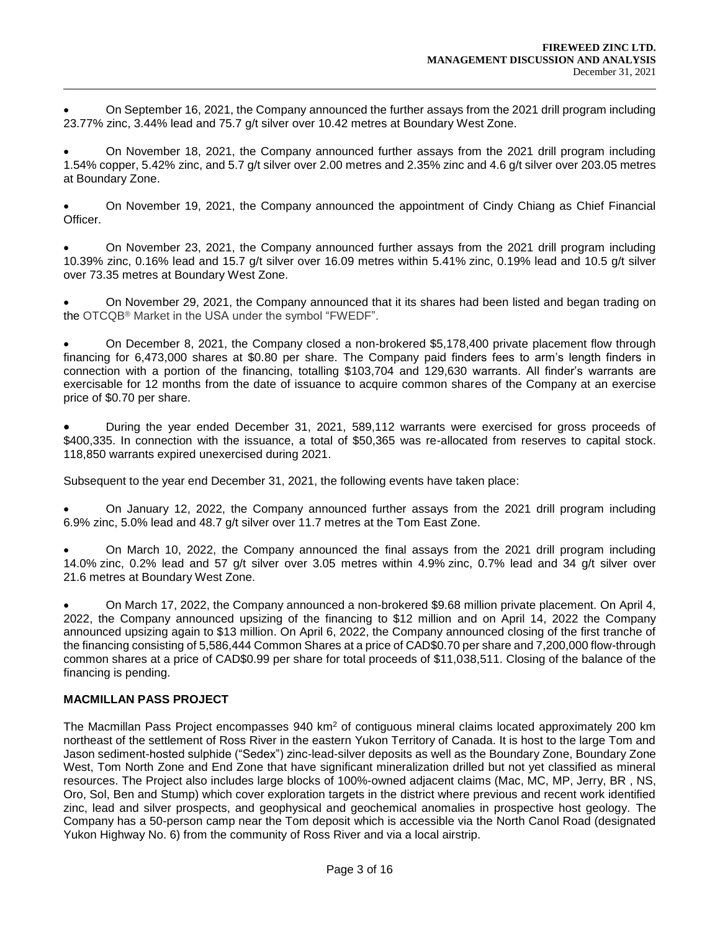On September 16, 2021, the Company announced the further assays from the 2021 drill program including 23.77% zinc, 3.44% lead and 75.7 g/t silver over 10.42 metres at Boundary West Zone.

 On November 18, 2021, the Company announced further assays from the 2021 drill program including 1.54% copper, 5.42% zinc, and 5.7 g/t silver over 2.00 metres and 2.35% zinc and 4.6 g/t silver over 203.05 metres at Boundary Zone.

 On November 19, 2021, the Company announced the appointment of Cindy Chiang as Chief Financial Officer.

 On November 23, 2021, the Company announced further assays from the 2021 drill program including 10.39% zinc, 0.16% lead and 15.7 g/t silver over 16.09 metres within 5.41% zinc, 0.19% lead and 10.5 g/t silver over 73.35 metres at Boundary West Zone.

 On November 29, 2021, the Company announced that it its shares had been listed and began trading on the OTCQB® Market in the USA under the symbol "FWEDF".

 On December 8, 2021, the Company closed a non-brokered \$5,178,400 private placement flow through financing for 6,473,000 shares at \$0.80 per share. The Company paid finders fees to arm's length finders in connection with a portion of the financing, totalling \$103,704 and 129,630 warrants. All finder's warrants are exercisable for 12 months from the date of issuance to acquire common shares of the Company at an exercise price of \$0.70 per share.

 During the year ended December 31, 2021, 589,112 warrants were exercised for gross proceeds of \$400,335. In connection with the issuance, a total of \$50,365 was re-allocated from reserves to capital stock. 118,850 warrants expired unexercised during 2021.

Subsequent to the year end December 31, 2021, the following events have taken place:

 On January 12, 2022, the Company announced further assays from the 2021 drill program including 6.9% zinc, 5.0% lead and 48.7 g/t silver over 11.7 metres at the Tom East Zone.

 On March 10, 2022, the Company announced the final assays from the 2021 drill program including 14.0% zinc, 0.2% lead and 57 g/t silver over 3.05 metres within 4.9% zinc, 0.7% lead and 34 g/t silver over 21.6 metres at Boundary West Zone.

 On March 17, 2022, the Company announced a non-brokered \$9.68 million private placement. On April 4, 2022, the Company announced upsizing of the financing to \$12 million and on April 14, 2022 the Company announced upsizing again to \$13 million. On April 6, 2022, the Company announced closing of the first tranche of the financing consisting of 5,586,444 Common Shares at a price of CAD\$0.70 per share and 7,200,000 flow-through common shares at a price of CAD\$0.99 per share for total proceeds of \$11,038,511. Closing of the balance of the financing is pending.

# **MACMILLAN PASS PROJECT**

The Macmillan Pass Project encompasses 940 km<sup>2</sup> of contiguous mineral claims located approximately 200 km northeast of the settlement of Ross River in the eastern Yukon Territory of Canada. It is host to the large Tom and Jason sediment-hosted sulphide ("Sedex") zinc-lead-silver deposits as well as the Boundary Zone, Boundary Zone West, Tom North Zone and End Zone that have significant mineralization drilled but not yet classified as mineral resources. The Project also includes large blocks of 100%-owned adjacent claims (Mac, MC, MP, Jerry, BR , NS, Oro, Sol, Ben and Stump) which cover exploration targets in the district where previous and recent work identified zinc, lead and silver prospects, and geophysical and geochemical anomalies in prospective host geology. The Company has a 50-person camp near the Tom deposit which is accessible via the North Canol Road (designated Yukon Highway No. 6) from the community of Ross River and via a local airstrip.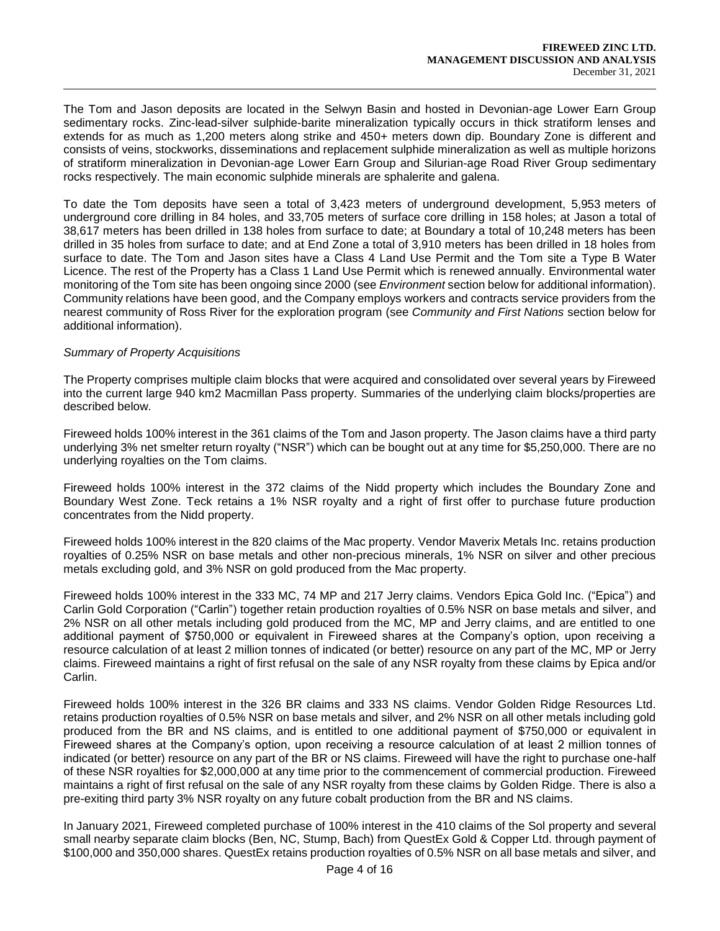The Tom and Jason deposits are located in the Selwyn Basin and hosted in Devonian-age Lower Earn Group sedimentary rocks. Zinc-lead-silver sulphide-barite mineralization typically occurs in thick stratiform lenses and extends for as much as 1,200 meters along strike and 450+ meters down dip. Boundary Zone is different and consists of veins, stockworks, disseminations and replacement sulphide mineralization as well as multiple horizons of stratiform mineralization in Devonian-age Lower Earn Group and Silurian-age Road River Group sedimentary rocks respectively. The main economic sulphide minerals are sphalerite and galena.

To date the Tom deposits have seen a total of 3,423 meters of underground development, 5,953 meters of underground core drilling in 84 holes, and 33,705 meters of surface core drilling in 158 holes; at Jason a total of 38,617 meters has been drilled in 138 holes from surface to date; at Boundary a total of 10,248 meters has been drilled in 35 holes from surface to date; and at End Zone a total of 3,910 meters has been drilled in 18 holes from surface to date. The Tom and Jason sites have a Class 4 Land Use Permit and the Tom site a Type B Water Licence. The rest of the Property has a Class 1 Land Use Permit which is renewed annually. Environmental water monitoring of the Tom site has been ongoing since 2000 (see *Environment* section below for additional information). Community relations have been good, and the Company employs workers and contracts service providers from the nearest community of Ross River for the exploration program (see *Community and First Nations* section below for additional information).

### *Summary of Property Acquisitions*

The Property comprises multiple claim blocks that were acquired and consolidated over several years by Fireweed into the current large 940 km2 Macmillan Pass property. Summaries of the underlying claim blocks/properties are described below.

Fireweed holds 100% interest in the 361 claims of the Tom and Jason property. The Jason claims have a third party underlying 3% net smelter return royalty ("NSR") which can be bought out at any time for \$5,250,000. There are no underlying royalties on the Tom claims.

Fireweed holds 100% interest in the 372 claims of the Nidd property which includes the Boundary Zone and Boundary West Zone. Teck retains a 1% NSR royalty and a right of first offer to purchase future production concentrates from the Nidd property.

Fireweed holds 100% interest in the 820 claims of the Mac property. Vendor Maverix Metals Inc. retains production royalties of 0.25% NSR on base metals and other non-precious minerals, 1% NSR on silver and other precious metals excluding gold, and 3% NSR on gold produced from the Mac property.

Fireweed holds 100% interest in the 333 MC, 74 MP and 217 Jerry claims. Vendors Epica Gold Inc. ("Epica") and Carlin Gold Corporation ("Carlin") together retain production royalties of 0.5% NSR on base metals and silver, and 2% NSR on all other metals including gold produced from the MC, MP and Jerry claims, and are entitled to one additional payment of \$750,000 or equivalent in Fireweed shares at the Company's option, upon receiving a resource calculation of at least 2 million tonnes of indicated (or better) resource on any part of the MC, MP or Jerry claims. Fireweed maintains a right of first refusal on the sale of any NSR royalty from these claims by Epica and/or Carlin.

Fireweed holds 100% interest in the 326 BR claims and 333 NS claims. Vendor Golden Ridge Resources Ltd. retains production royalties of 0.5% NSR on base metals and silver, and 2% NSR on all other metals including gold produced from the BR and NS claims, and is entitled to one additional payment of \$750,000 or equivalent in Fireweed shares at the Company's option, upon receiving a resource calculation of at least 2 million tonnes of indicated (or better) resource on any part of the BR or NS claims. Fireweed will have the right to purchase one-half of these NSR royalties for \$2,000,000 at any time prior to the commencement of commercial production. Fireweed maintains a right of first refusal on the sale of any NSR royalty from these claims by Golden Ridge. There is also a pre-exiting third party 3% NSR royalty on any future cobalt production from the BR and NS claims.

In January 2021, Fireweed completed purchase of 100% interest in the 410 claims of the Sol property and several small nearby separate claim blocks (Ben, NC, Stump, Bach) from QuestEx Gold & Copper Ltd. through payment of \$100,000 and 350,000 shares. QuestEx retains production royalties of 0.5% NSR on all base metals and silver, and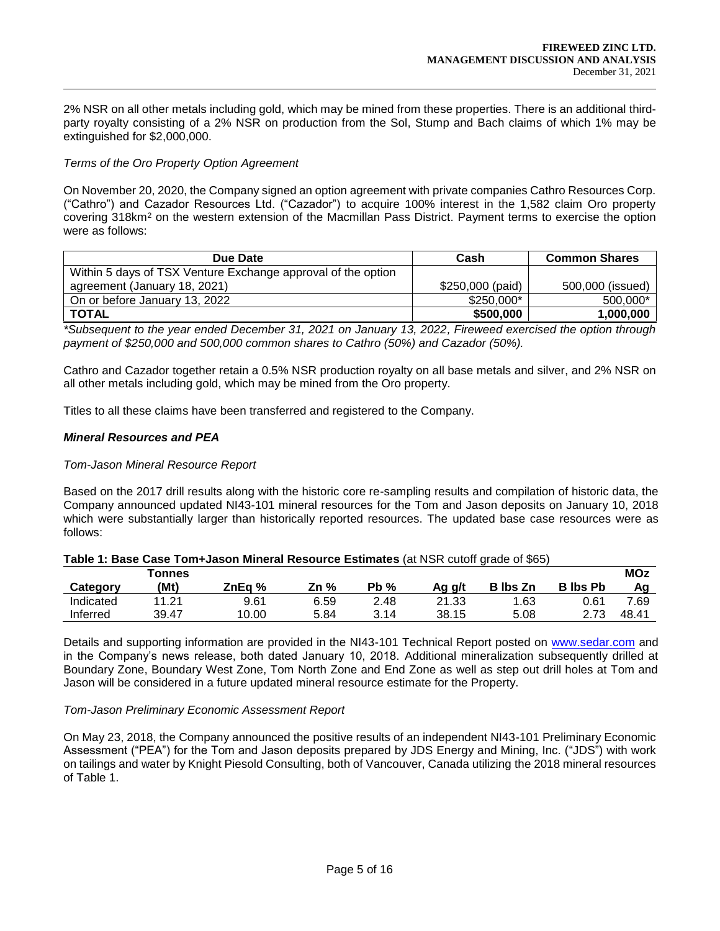2% NSR on all other metals including gold, which may be mined from these properties. There is an additional thirdparty royalty consisting of a 2% NSR on production from the Sol, Stump and Bach claims of which 1% may be extinguished for \$2,000,000.

#### *Terms of the Oro Property Option Agreement*

On November 20, 2020, the Company signed an option agreement with private companies Cathro Resources Corp. ("Cathro") and Cazador Resources Ltd. ("Cazador") to acquire 100% interest in the 1,582 claim Oro property covering 318km<sup>2</sup> on the western extension of the Macmillan Pass District. Payment terms to exercise the option were as follows:

| Due Date                                                     | Cash             | <b>Common Shares</b> |
|--------------------------------------------------------------|------------------|----------------------|
| Within 5 days of TSX Venture Exchange approval of the option |                  |                      |
| agreement (January 18, 2021)                                 | \$250,000 (paid) | 500,000 (issued)     |
| On or before January 13, 2022                                | \$250,000*       | 500,000*             |
| <b>TOTAL</b>                                                 | \$500,000        | 1,000,000            |

*\*Subsequent to the year ended December 31, 2021 on January 13, 2022, Fireweed exercised the option through payment of \$250,000 and 500,000 common shares to Cathro (50%) and Cazador (50%).*

Cathro and Cazador together retain a 0.5% NSR production royalty on all base metals and silver, and 2% NSR on all other metals including gold, which may be mined from the Oro property.

Titles to all these claims have been transferred and registered to the Company.

#### *Mineral Resources and PEA*

#### *Tom-Jason Mineral Resource Report*

Based on the 2017 drill results along with the historic core re-sampling results and compilation of historic data, the Company announced updated NI43-101 mineral resources for the Tom and Jason deposits on January 10, 2018 which were substantially larger than historically reported resources. The updated base case resources were as follows:

|           | <b>Tonnes</b>         |        |      |         |        |                 |                 | <b>MOz</b> |
|-----------|-----------------------|--------|------|---------|--------|-----------------|-----------------|------------|
| Category  | (Mt)                  | ZnEa % | Zn % | Pb<br>% | Ag g/t | <b>B</b> Ibs Zn | <b>B</b> Ibs Pb | Αg         |
| Indicated | .2 <sup>1</sup><br>44 | 9.61   | 6.59 | 2.48    | 21.33  | 1.63            | 0.61            | 7.69       |
| Inferred  | 39.47                 | 10.00  | 5.84 | 3.14    | 38.15  | 5.08            | 2.73            | 48.41      |

#### **Table 1: Base Case Tom+Jason Mineral Resource Estimates (at NSR cutoff grade of \$65)**

Details and supporting information are provided in the NI43-101 Technical Report posted on [www.sedar.com](about:blank) and in the Company's news release, both dated January 10, 2018. Additional mineralization subsequently drilled at Boundary Zone, Boundary West Zone, Tom North Zone and End Zone as well as step out drill holes at Tom and Jason will be considered in a future updated mineral resource estimate for the Property.

#### *Tom-Jason Preliminary Economic Assessment Report*

On May 23, 2018, the Company announced the positive results of an independent NI43-101 Preliminary Economic Assessment ("PEA") for the Tom and Jason deposits prepared by JDS Energy and Mining, Inc. ("JDS") with work on tailings and water by Knight Piesold Consulting, both of Vancouver, Canada utilizing the 2018 mineral resources of Table 1.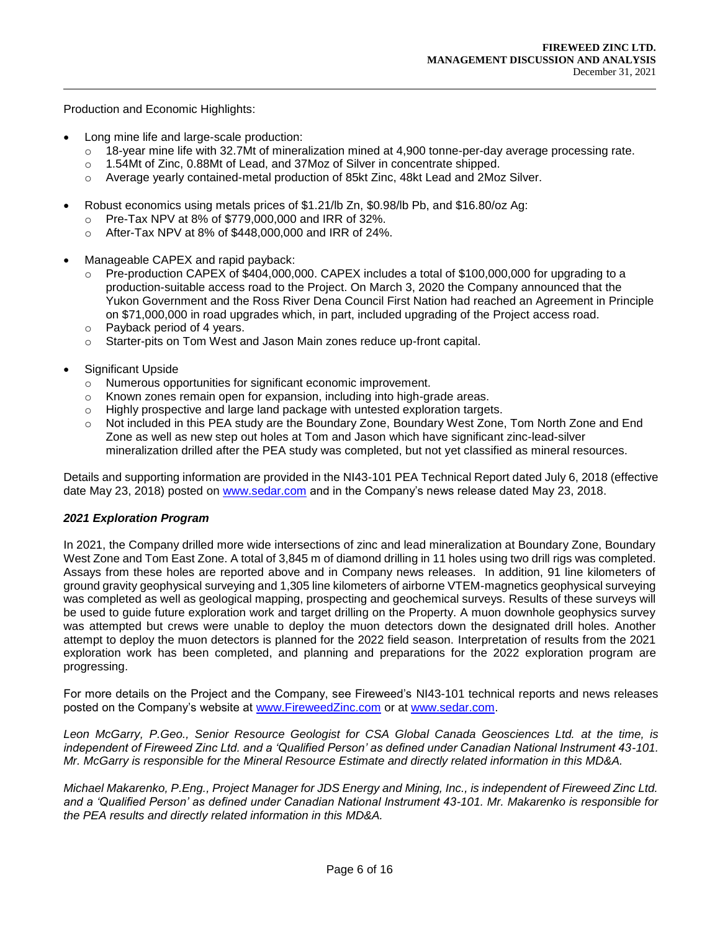Production and Economic Highlights:

- Long mine life and large-scale production:
	- $\circ$  18-year mine life with 32.7Mt of mineralization mined at 4,900 tonne-per-day average processing rate.
	- o 1.54Mt of Zinc, 0.88Mt of Lead, and 37Moz of Silver in concentrate shipped.
	- o Average yearly contained-metal production of 85kt Zinc, 48kt Lead and 2Moz Silver.
- Robust economics using metals prices of \$1.21/lb Zn, \$0.98/lb Pb, and \$16.80/oz Ag:
	- o Pre-Tax NPV at 8% of \$779,000,000 and IRR of 32%.
	- o After-Tax NPV at 8% of \$448,000,000 and IRR of 24%.
- Manageable CAPEX and rapid payback:
	- $\circ$  Pre-production CAPEX of \$404,000,000. CAPEX includes a total of \$100,000,000 for upgrading to a production-suitable access road to the Project. On March 3, 2020 the Company announced that the Yukon Government and the Ross River Dena Council First Nation had reached an Agreement in Principle on \$71,000,000 in road upgrades which, in part, included upgrading of the Project access road.
	- o Payback period of 4 years.
	- o Starter-pits on Tom West and Jason Main zones reduce up-front capital.
- Significant Upside
	- o Numerous opportunities for significant economic improvement.
	- o Known zones remain open for expansion, including into high-grade areas.
	- $\circ$  Highly prospective and large land package with untested exploration targets.
	- $\circ$  Not included in this PEA study are the Boundary Zone, Boundary West Zone, Tom North Zone and End Zone as well as new step out holes at Tom and Jason which have significant zinc-lead-silver mineralization drilled after the PEA study was completed, but not yet classified as mineral resources.

Details and supporting information are provided in the NI43-101 PEA Technical Report dated July 6, 2018 (effective date May 23, 2018) posted on [www.sedar.com](about:blank) and in the Company's news release dated May 23, 2018.

### *2021 Exploration Program*

In 2021, the Company drilled more wide intersections of zinc and lead mineralization at Boundary Zone, Boundary West Zone and Tom East Zone. A total of 3,845 m of diamond drilling in 11 holes using two drill rigs was completed. Assays from these holes are reported above and in Company news releases. In addition, 91 line kilometers of ground gravity geophysical surveying and 1,305 line kilometers of airborne VTEM-magnetics geophysical surveying was completed as well as geological mapping, prospecting and geochemical surveys. Results of these surveys will be used to guide future exploration work and target drilling on the Property. A muon downhole geophysics survey was attempted but crews were unable to deploy the muon detectors down the designated drill holes. Another attempt to deploy the muon detectors is planned for the 2022 field season. Interpretation of results from the 2021 exploration work has been completed, and planning and preparations for the 2022 exploration program are progressing.

For more details on the Project and the Company, see Fireweed's NI43-101 technical reports and news releases posted on the Company's website at [www.FireweedZinc.com](about:blank) or at [www.sedar.com.](about:blank)

*Leon McGarry, P.Geo., Senior Resource Geologist for CSA Global Canada Geosciences Ltd. at the time, is independent of Fireweed Zinc Ltd. and a 'Qualified Person' as defined under Canadian National Instrument 43-101. Mr. McGarry is responsible for the Mineral Resource Estimate and directly related information in this MD&A.* 

*Michael Makarenko, P.Eng., Project Manager for JDS Energy and Mining, Inc., is independent of Fireweed Zinc Ltd. and a 'Qualified Person' as defined under Canadian National Instrument 43-101. Mr. Makarenko is responsible for the PEA results and directly related information in this MD&A.*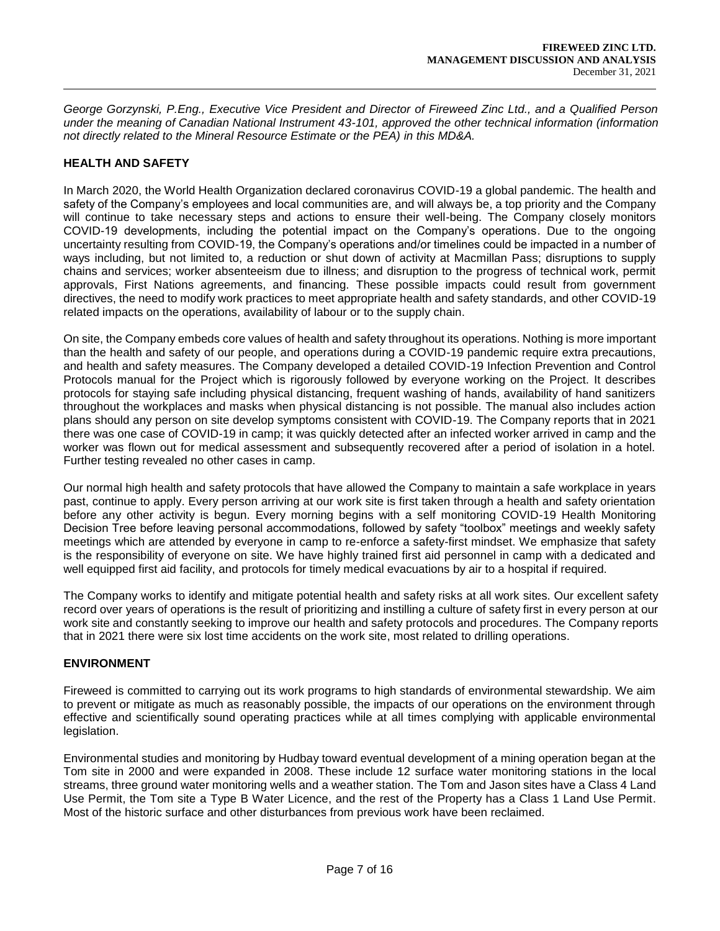*George Gorzynski, P.Eng., Executive Vice President and Director of Fireweed Zinc Ltd., and a Qualified Person under the meaning of Canadian National Instrument 43-101, approved the other technical information (information not directly related to the Mineral Resource Estimate or the PEA) in this MD&A.*

## **HEALTH AND SAFETY**

In March 2020, the World Health Organization declared coronavirus COVID-19 a global pandemic. The health and safety of the Company's employees and local communities are, and will always be, a top priority and the Company will continue to take necessary steps and actions to ensure their well-being. The Company closely monitors COVID-19 developments, including the potential impact on the Company's operations. Due to the ongoing uncertainty resulting from COVID-19, the Company's operations and/or timelines could be impacted in a number of ways including, but not limited to, a reduction or shut down of activity at Macmillan Pass; disruptions to supply chains and services; worker absenteeism due to illness; and disruption to the progress of technical work, permit approvals, First Nations agreements, and financing. These possible impacts could result from government directives, the need to modify work practices to meet appropriate health and safety standards, and other COVID-19 related impacts on the operations, availability of labour or to the supply chain.

On site, the Company embeds core values of health and safety throughout its operations. Nothing is more important than the health and safety of our people, and operations during a COVID-19 pandemic require extra precautions, and health and safety measures. The Company developed a detailed COVID-19 Infection Prevention and Control Protocols manual for the Project which is rigorously followed by everyone working on the Project. It describes protocols for staying safe including physical distancing, frequent washing of hands, availability of hand sanitizers throughout the workplaces and masks when physical distancing is not possible. The manual also includes action plans should any person on site develop symptoms consistent with COVID-19. The Company reports that in 2021 there was one case of COVID-19 in camp; it was quickly detected after an infected worker arrived in camp and the worker was flown out for medical assessment and subsequently recovered after a period of isolation in a hotel. Further testing revealed no other cases in camp.

Our normal high health and safety protocols that have allowed the Company to maintain a safe workplace in years past, continue to apply. Every person arriving at our work site is first taken through a health and safety orientation before any other activity is begun. Every morning begins with a self monitoring COVID-19 Health Monitoring Decision Tree before leaving personal accommodations, followed by safety "toolbox" meetings and weekly safety meetings which are attended by everyone in camp to re-enforce a safety-first mindset. We emphasize that safety is the responsibility of everyone on site. We have highly trained first aid personnel in camp with a dedicated and well equipped first aid facility, and protocols for timely medical evacuations by air to a hospital if required.

The Company works to identify and mitigate potential health and safety risks at all work sites. Our excellent safety record over years of operations is the result of prioritizing and instilling a culture of safety first in every person at our work site and constantly seeking to improve our health and safety protocols and procedures. The Company reports that in 2021 there were six lost time accidents on the work site, most related to drilling operations.

### **ENVIRONMENT**

Fireweed is committed to carrying out its work programs to high standards of environmental stewardship. We aim to prevent or mitigate as much as reasonably possible, the impacts of our operations on the environment through effective and scientifically sound operating practices while at all times complying with applicable environmental legislation.

Environmental studies and monitoring by Hudbay toward eventual development of a mining operation began at the Tom site in 2000 and were expanded in 2008. These include 12 surface water monitoring stations in the local streams, three ground water monitoring wells and a weather station. The Tom and Jason sites have a Class 4 Land Use Permit, the Tom site a Type B Water Licence, and the rest of the Property has a Class 1 Land Use Permit. Most of the historic surface and other disturbances from previous work have been reclaimed.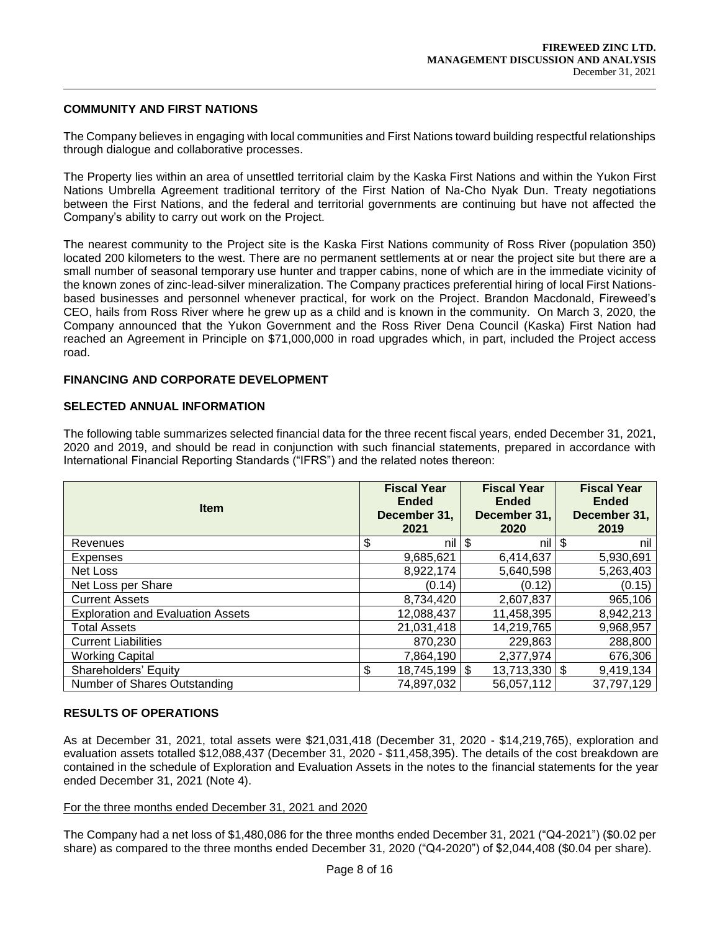### **COMMUNITY AND FIRST NATIONS**

The Company believes in engaging with local communities and First Nations toward building respectful relationships through dialogue and collaborative processes.

The Property lies within an area of unsettled territorial claim by the Kaska First Nations and within the Yukon First Nations Umbrella Agreement traditional territory of the First Nation of Na-Cho Nyak Dun. Treaty negotiations between the First Nations, and the federal and territorial governments are continuing but have not affected the Company's ability to carry out work on the Project.

The nearest community to the Project site is the Kaska First Nations community of Ross River (population 350) located 200 kilometers to the west. There are no permanent settlements at or near the project site but there are a small number of seasonal temporary use hunter and trapper cabins, none of which are in the immediate vicinity of the known zones of zinc-lead-silver mineralization. The Company practices preferential hiring of local First Nationsbased businesses and personnel whenever practical, for work on the Project. Brandon Macdonald, Fireweed's CEO, hails from Ross River where he grew up as a child and is known in the community. On March 3, 2020, the Company announced that the Yukon Government and the Ross River Dena Council (Kaska) First Nation had reached an Agreement in Principle on \$71,000,000 in road upgrades which, in part, included the Project access road.

### **FINANCING AND CORPORATE DEVELOPMENT**

#### **SELECTED ANNUAL INFORMATION**

The following table summarizes selected financial data for the three recent fiscal years, ended December 31, 2021, 2020 and 2019, and should be read in conjunction with such financial statements, prepared in accordance with International Financial Reporting Standards ("IFRS") and the related notes thereon:

| <b>Item</b>                              | <b>Fiscal Year</b><br><b>Ended</b><br>December 31,<br>2021 |     | <b>Fiscal Year</b><br><b>Ended</b><br>December 31,<br>2020 | <b>Fiscal Year</b><br><b>Ended</b><br>December 31,<br>2019 |
|------------------------------------------|------------------------------------------------------------|-----|------------------------------------------------------------|------------------------------------------------------------|
| Revenues                                 | \$<br>nil l                                                | -\$ | nil                                                        | \$<br>nil                                                  |
| <b>Expenses</b>                          | 9,685,621                                                  |     | 6,414,637                                                  | 5,930,691                                                  |
| Net Loss                                 | 8,922,174                                                  |     | 5,640,598                                                  | 5,263,403                                                  |
| Net Loss per Share                       | (0.14)                                                     |     | (0.12)                                                     | (0.15)                                                     |
| <b>Current Assets</b>                    | 8,734,420                                                  |     | 2,607,837                                                  | 965,106                                                    |
| <b>Exploration and Evaluation Assets</b> | 12,088,437                                                 |     | 11,458,395                                                 | 8,942,213                                                  |
| <b>Total Assets</b>                      | 21,031,418                                                 |     | 14,219,765                                                 | 9,968,957                                                  |
| <b>Current Liabilities</b>               | 870,230                                                    |     | 229,863                                                    | 288,800                                                    |
| <b>Working Capital</b>                   | 7,864,190                                                  |     | 2,377,974                                                  | 676,306                                                    |
| Shareholders' Equity                     | \$<br>$18,745,199$ \$                                      |     | $13,713,330$ \\$                                           | 9,419,134                                                  |
| Number of Shares Outstanding             | 74,897,032                                                 |     | 56,057,112                                                 | 37,797,129                                                 |

#### **RESULTS OF OPERATIONS**

As at December 31, 2021, total assets were \$21,031,418 (December 31, 2020 - \$14,219,765), exploration and evaluation assets totalled \$12,088,437 (December 31, 2020 - \$11,458,395). The details of the cost breakdown are contained in the schedule of Exploration and Evaluation Assets in the notes to the financial statements for the year ended December 31, 2021 (Note 4).

#### For the three months ended December 31, 2021 and 2020

The Company had a net loss of \$1,480,086 for the three months ended December 31, 2021 ("Q4-2021") (\$0.02 per share) as compared to the three months ended December 31, 2020 ("Q4-2020") of \$2,044,408 (\$0.04 per share).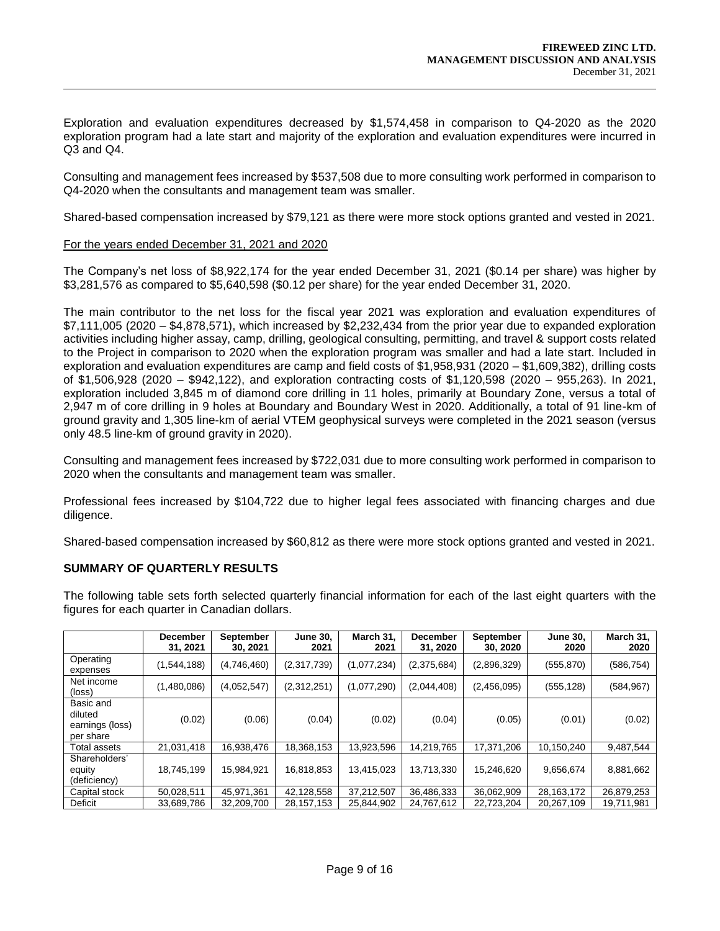Exploration and evaluation expenditures decreased by \$1,574,458 in comparison to Q4-2020 as the 2020 exploration program had a late start and majority of the exploration and evaluation expenditures were incurred in Q3 and Q4.

Consulting and management fees increased by \$537,508 due to more consulting work performed in comparison to Q4-2020 when the consultants and management team was smaller.

Shared-based compensation increased by \$79,121 as there were more stock options granted and vested in 2021.

#### For the years ended December 31, 2021 and 2020

The Company's net loss of \$8,922,174 for the year ended December 31, 2021 (\$0.14 per share) was higher by \$3,281,576 as compared to \$5,640,598 (\$0.12 per share) for the year ended December 31, 2020.

The main contributor to the net loss for the fiscal year 2021 was exploration and evaluation expenditures of \$7,111,005 (2020 – \$4,878,571), which increased by \$2,232,434 from the prior year due to expanded exploration activities including higher assay, camp, drilling, geological consulting, permitting, and travel & support costs related to the Project in comparison to 2020 when the exploration program was smaller and had a late start. Included in exploration and evaluation expenditures are camp and field costs of \$1,958,931 (2020 – \$1,609,382), drilling costs of \$1,506,928 (2020 – \$942,122), and exploration contracting costs of \$1,120,598 (2020 – 955,263). In 2021, exploration included 3,845 m of diamond core drilling in 11 holes, primarily at Boundary Zone, versus a total of 2,947 m of core drilling in 9 holes at Boundary and Boundary West in 2020. Additionally, a total of 91 line-km of ground gravity and 1,305 line-km of aerial VTEM geophysical surveys were completed in the 2021 season (versus only 48.5 line-km of ground gravity in 2020).

Consulting and management fees increased by \$722,031 due to more consulting work performed in comparison to 2020 when the consultants and management team was smaller.

Professional fees increased by \$104,722 due to higher legal fees associated with financing charges and due diligence.

Shared-based compensation increased by \$60,812 as there were more stock options granted and vested in 2021.

### **SUMMARY OF QUARTERLY RESULTS**

The following table sets forth selected quarterly financial information for each of the last eight quarters with the figures for each quarter in Canadian dollars.

|                                                      | <b>December</b><br>31, 2021 | September<br>30, 2021 | <b>June 30,</b><br>2021 | March 31,<br>2021 | <b>December</b><br>31, 2020 | <b>September</b><br>30, 2020 | <b>June 30,</b><br>2020 | March 31,<br>2020 |
|------------------------------------------------------|-----------------------------|-----------------------|-------------------------|-------------------|-----------------------------|------------------------------|-------------------------|-------------------|
| Operating<br>expenses                                | (1,544,188)                 | (4,746,460)           | (2,317,739)             | (1,077,234)       | (2,375,684)                 | (2,896,329)                  | (555, 870)              | (586, 754)        |
| Net income<br>(loss)                                 | (1,480,086)                 | (4,052,547)           | (2,312,251)             | (1,077,290)       | (2,044,408)                 | (2,456,095)                  | (555, 128)              | (584, 967)        |
| Basic and<br>diluted<br>earnings (loss)<br>per share | (0.02)                      | (0.06)                | (0.04)                  | (0.02)            | (0.04)                      | (0.05)                       | (0.01)                  | (0.02)            |
| Total assets                                         | 21,031,418                  | 16,938,476            | 18,368,153              | 13,923,596        | 14,219,765                  | 17,371,206                   | 10,150,240              | 9,487,544         |
| Shareholders'<br>equity<br>(deficiency)              | 18,745,199                  | 15,984,921            | 16,818,853              | 13,415,023        | 13,713,330                  | 15,246,620                   | 9,656,674               | 8,881,662         |
| Capital stock                                        | 50,028,511                  | 45,971,361            | 42,128,558              | 37,212,507        | 36,486,333                  | 36,062,909                   | 28, 163, 172            | 26,879,253        |
| Deficit                                              | 33,689,786                  | 32,209,700            | 28,157,153              | 25,844,902        | 24,767,612                  | 22,723,204                   | 20,267,109              | 19.711.981        |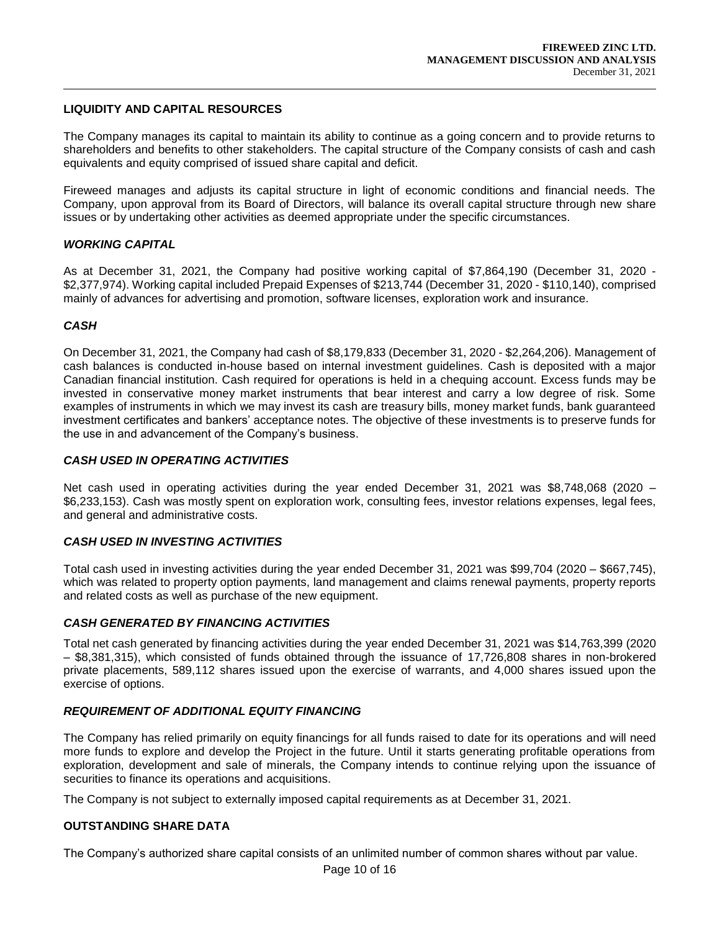### **LIQUIDITY AND CAPITAL RESOURCES**

The Company manages its capital to maintain its ability to continue as a going concern and to provide returns to shareholders and benefits to other stakeholders. The capital structure of the Company consists of cash and cash equivalents and equity comprised of issued share capital and deficit.

Fireweed manages and adjusts its capital structure in light of economic conditions and financial needs. The Company, upon approval from its Board of Directors, will balance its overall capital structure through new share issues or by undertaking other activities as deemed appropriate under the specific circumstances.

### *WORKING CAPITAL*

As at December 31, 2021, the Company had positive working capital of \$7,864,190 (December 31, 2020 - \$2,377,974). Working capital included Prepaid Expenses of \$213,744 (December 31, 2020 - \$110,140), comprised mainly of advances for advertising and promotion, software licenses, exploration work and insurance.

#### *CASH*

On December 31, 2021, the Company had cash of \$8,179,833 (December 31, 2020 - \$2,264,206). Management of cash balances is conducted in-house based on internal investment guidelines. Cash is deposited with a major Canadian financial institution. Cash required for operations is held in a chequing account. Excess funds may be invested in conservative money market instruments that bear interest and carry a low degree of risk. Some examples of instruments in which we may invest its cash are treasury bills, money market funds, bank guaranteed investment certificates and bankers' acceptance notes. The objective of these investments is to preserve funds for the use in and advancement of the Company's business.

### *CASH USED IN OPERATING ACTIVITIES*

Net cash used in operating activities during the year ended December 31, 2021 was \$8,748,068 (2020 – \$6,233,153). Cash was mostly spent on exploration work, consulting fees, investor relations expenses, legal fees, and general and administrative costs.

### *CASH USED IN INVESTING ACTIVITIES*

Total cash used in investing activities during the year ended December 31, 2021 was \$99,704 (2020 – \$667,745), which was related to property option payments, land management and claims renewal payments, property reports and related costs as well as purchase of the new equipment.

### *CASH GENERATED BY FINANCING ACTIVITIES*

Total net cash generated by financing activities during the year ended December 31, 2021 was \$14,763,399 (2020 – \$8,381,315), which consisted of funds obtained through the issuance of 17,726,808 shares in non-brokered private placements, 589,112 shares issued upon the exercise of warrants, and 4,000 shares issued upon the exercise of options.

### *REQUIREMENT OF ADDITIONAL EQUITY FINANCING*

The Company has relied primarily on equity financings for all funds raised to date for its operations and will need more funds to explore and develop the Project in the future. Until it starts generating profitable operations from exploration, development and sale of minerals, the Company intends to continue relying upon the issuance of securities to finance its operations and acquisitions.

The Company is not subject to externally imposed capital requirements as at December 31, 2021.

### **OUTSTANDING SHARE DATA**

The Company's authorized share capital consists of an unlimited number of common shares without par value.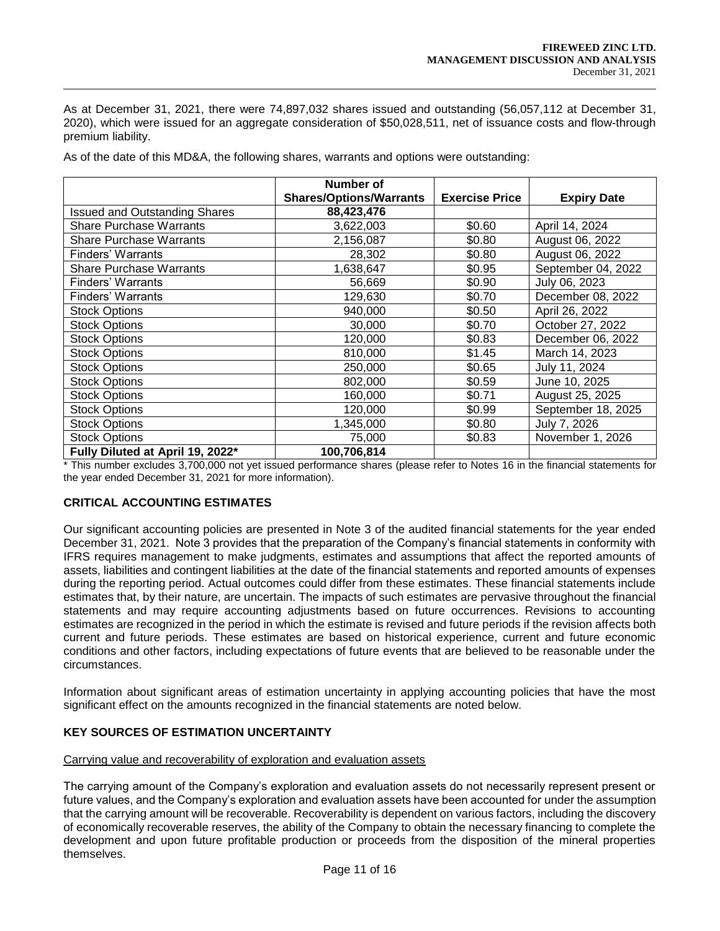As at December 31, 2021, there were 74,897,032 shares issued and outstanding (56,057,112 at December 31, 2020), which were issued for an aggregate consideration of \$50,028,511, net of issuance costs and flow-through premium liability.

| As of the date of this MD&A, the following shares, warrants and options were outstanding: |
|-------------------------------------------------------------------------------------------|
|-------------------------------------------------------------------------------------------|

|                                      | Number of                      |                       |                    |
|--------------------------------------|--------------------------------|-----------------------|--------------------|
|                                      | <b>Shares/Options/Warrants</b> | <b>Exercise Price</b> | <b>Expiry Date</b> |
| <b>Issued and Outstanding Shares</b> | 88,423,476                     |                       |                    |
| <b>Share Purchase Warrants</b>       | 3,622,003                      | \$0.60                | April 14, 2024     |
| <b>Share Purchase Warrants</b>       | 2,156,087                      | \$0.80                | August 06, 2022    |
| Finders' Warrants                    | 28,302                         | \$0.80                | August 06, 2022    |
| <b>Share Purchase Warrants</b>       | 1,638,647                      | \$0.95                | September 04, 2022 |
| Finders' Warrants                    | 56,669                         | \$0.90                | July 06, 2023      |
| Finders' Warrants                    | 129,630                        | \$0.70                | December 08, 2022  |
| <b>Stock Options</b>                 | 940,000                        | \$0.50                | April 26, 2022     |
| <b>Stock Options</b>                 | 30,000                         | \$0.70                | October 27, 2022   |
| <b>Stock Options</b>                 | 120,000                        | \$0.83                | December 06, 2022  |
| <b>Stock Options</b>                 | 810,000                        | \$1.45                | March 14, 2023     |
| <b>Stock Options</b>                 | 250,000                        | \$0.65                | July 11, 2024      |
| <b>Stock Options</b>                 | 802,000                        | \$0.59                | June 10, 2025      |
| <b>Stock Options</b>                 | 160,000                        | \$0.71                | August 25, 2025    |
| <b>Stock Options</b>                 | 120,000                        | \$0.99                | September 18, 2025 |
| <b>Stock Options</b>                 | 1,345,000                      | \$0.80                | July 7, 2026       |
| <b>Stock Options</b>                 | 75,000                         | \$0.83                | November 1, 2026   |
| Fully Diluted at April 19, 2022*     | 100,706,814                    |                       |                    |

\* This number excludes 3,700,000 not yet issued performance shares (please refer to Notes 16 in the financial statements for the year ended December 31, 2021 for more information).

### **CRITICAL ACCOUNTING ESTIMATES**

Our significant accounting policies are presented in Note 3 of the audited financial statements for the year ended December 31, 2021. Note 3 provides that the preparation of the Company's financial statements in conformity with IFRS requires management to make judgments, estimates and assumptions that affect the reported amounts of assets, liabilities and contingent liabilities at the date of the financial statements and reported amounts of expenses during the reporting period. Actual outcomes could differ from these estimates. These financial statements include estimates that, by their nature, are uncertain. The impacts of such estimates are pervasive throughout the financial statements and may require accounting adjustments based on future occurrences. Revisions to accounting estimates are recognized in the period in which the estimate is revised and future periods if the revision affects both current and future periods. These estimates are based on historical experience, current and future economic conditions and other factors, including expectations of future events that are believed to be reasonable under the circumstances.

Information about significant areas of estimation uncertainty in applying accounting policies that have the most significant effect on the amounts recognized in the financial statements are noted below.

### **KEY SOURCES OF ESTIMATION UNCERTAINTY**

#### Carrying value and recoverability of exploration and evaluation assets

The carrying amount of the Company's exploration and evaluation assets do not necessarily represent present or future values, and the Company's exploration and evaluation assets have been accounted for under the assumption that the carrying amount will be recoverable. Recoverability is dependent on various factors, including the discovery of economically recoverable reserves, the ability of the Company to obtain the necessary financing to complete the development and upon future profitable production or proceeds from the disposition of the mineral properties themselves.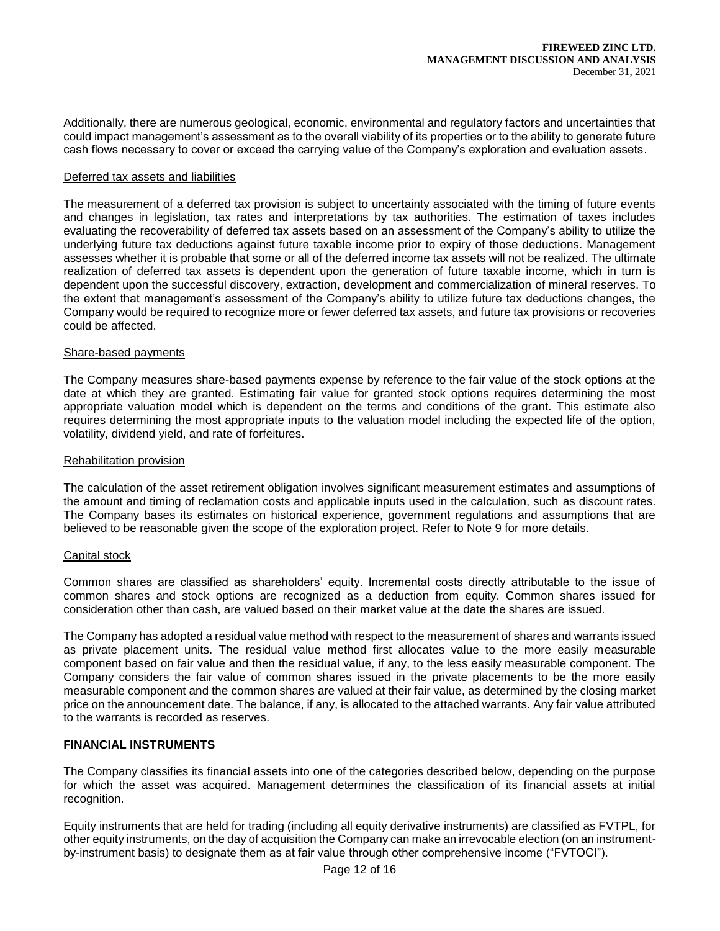Additionally, there are numerous geological, economic, environmental and regulatory factors and uncertainties that could impact management's assessment as to the overall viability of its properties or to the ability to generate future cash flows necessary to cover or exceed the carrying value of the Company's exploration and evaluation assets.

#### Deferred tax assets and liabilities

The measurement of a deferred tax provision is subject to uncertainty associated with the timing of future events and changes in legislation, tax rates and interpretations by tax authorities. The estimation of taxes includes evaluating the recoverability of deferred tax assets based on an assessment of the Company's ability to utilize the underlying future tax deductions against future taxable income prior to expiry of those deductions. Management assesses whether it is probable that some or all of the deferred income tax assets will not be realized. The ultimate realization of deferred tax assets is dependent upon the generation of future taxable income, which in turn is dependent upon the successful discovery, extraction, development and commercialization of mineral reserves. To the extent that management's assessment of the Company's ability to utilize future tax deductions changes, the Company would be required to recognize more or fewer deferred tax assets, and future tax provisions or recoveries could be affected.

#### Share-based payments

The Company measures share-based payments expense by reference to the fair value of the stock options at the date at which they are granted. Estimating fair value for granted stock options requires determining the most appropriate valuation model which is dependent on the terms and conditions of the grant. This estimate also requires determining the most appropriate inputs to the valuation model including the expected life of the option, volatility, dividend yield, and rate of forfeitures.

#### Rehabilitation provision

The calculation of the asset retirement obligation involves significant measurement estimates and assumptions of the amount and timing of reclamation costs and applicable inputs used in the calculation, such as discount rates. The Company bases its estimates on historical experience, government regulations and assumptions that are believed to be reasonable given the scope of the exploration project. Refer to Note 9 for more details.

### Capital stock

Common shares are classified as shareholders' equity. Incremental costs directly attributable to the issue of common shares and stock options are recognized as a deduction from equity. Common shares issued for consideration other than cash, are valued based on their market value at the date the shares are issued.

The Company has adopted a residual value method with respect to the measurement of shares and warrants issued as private placement units. The residual value method first allocates value to the more easily measurable component based on fair value and then the residual value, if any, to the less easily measurable component. The Company considers the fair value of common shares issued in the private placements to be the more easily measurable component and the common shares are valued at their fair value, as determined by the closing market price on the announcement date. The balance, if any, is allocated to the attached warrants. Any fair value attributed to the warrants is recorded as reserves.

### **FINANCIAL INSTRUMENTS**

The Company classifies its financial assets into one of the categories described below, depending on the purpose for which the asset was acquired. Management determines the classification of its financial assets at initial recognition.

Equity instruments that are held for trading (including all equity derivative instruments) are classified as FVTPL, for other equity instruments, on the day of acquisition the Company can make an irrevocable election (on an instrumentby-instrument basis) to designate them as at fair value through other comprehensive income ("FVTOCI").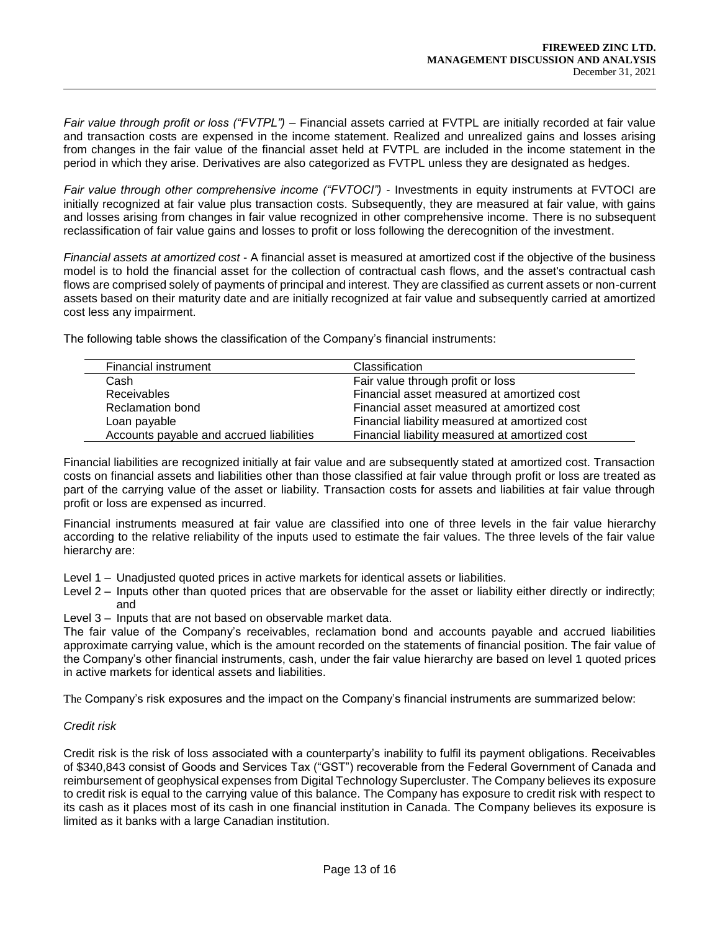*Fair value through profit or loss ("FVTPL")* – Financial assets carried at FVTPL are initially recorded at fair value and transaction costs are expensed in the income statement. Realized and unrealized gains and losses arising from changes in the fair value of the financial asset held at FVTPL are included in the income statement in the period in which they arise. Derivatives are also categorized as FVTPL unless they are designated as hedges.

*Fair value through other comprehensive income ("FVTOCI")* - Investments in equity instruments at FVTOCI are initially recognized at fair value plus transaction costs. Subsequently, they are measured at fair value, with gains and losses arising from changes in fair value recognized in other comprehensive income. There is no subsequent reclassification of fair value gains and losses to profit or loss following the derecognition of the investment.

*Financial assets at amortized cost* - A financial asset is measured at amortized cost if the objective of the business model is to hold the financial asset for the collection of contractual cash flows, and the asset's contractual cash flows are comprised solely of payments of principal and interest. They are classified as current assets or non-current assets based on their maturity date and are initially recognized at fair value and subsequently carried at amortized cost less any impairment.

The following table shows the classification of the Company's financial instruments:

| Financial instrument                     | Classification                                 |
|------------------------------------------|------------------------------------------------|
| Cash                                     | Fair value through profit or loss              |
| <b>Receivables</b>                       | Financial asset measured at amortized cost     |
| <b>Reclamation bond</b>                  | Financial asset measured at amortized cost     |
| Loan payable                             | Financial liability measured at amortized cost |
| Accounts payable and accrued liabilities | Financial liability measured at amortized cost |

Financial liabilities are recognized initially at fair value and are subsequently stated at amortized cost. Transaction costs on financial assets and liabilities other than those classified at fair value through profit or loss are treated as part of the carrying value of the asset or liability. Transaction costs for assets and liabilities at fair value through profit or loss are expensed as incurred.

Financial instruments measured at fair value are classified into one of three levels in the fair value hierarchy according to the relative reliability of the inputs used to estimate the fair values. The three levels of the fair value hierarchy are:

Level 1 – Unadjusted quoted prices in active markets for identical assets or liabilities.

- Level 2 Inputs other than quoted prices that are observable for the asset or liability either directly or indirectly; and
- Level 3 Inputs that are not based on observable market data.

The fair value of the Company's receivables, reclamation bond and accounts payable and accrued liabilities approximate carrying value, which is the amount recorded on the statements of financial position. The fair value of the Company's other financial instruments, cash, under the fair value hierarchy are based on level 1 quoted prices in active markets for identical assets and liabilities.

The Company's risk exposures and the impact on the Company's financial instruments are summarized below:

# *Credit risk*

Credit risk is the risk of loss associated with a counterparty's inability to fulfil its payment obligations. Receivables of \$340,843 consist of Goods and Services Tax ("GST") recoverable from the Federal Government of Canada and reimbursement of geophysical expenses from Digital Technology Supercluster. The Company believes its exposure to credit risk is equal to the carrying value of this balance. The Company has exposure to credit risk with respect to its cash as it places most of its cash in one financial institution in Canada. The Company believes its exposure is limited as it banks with a large Canadian institution.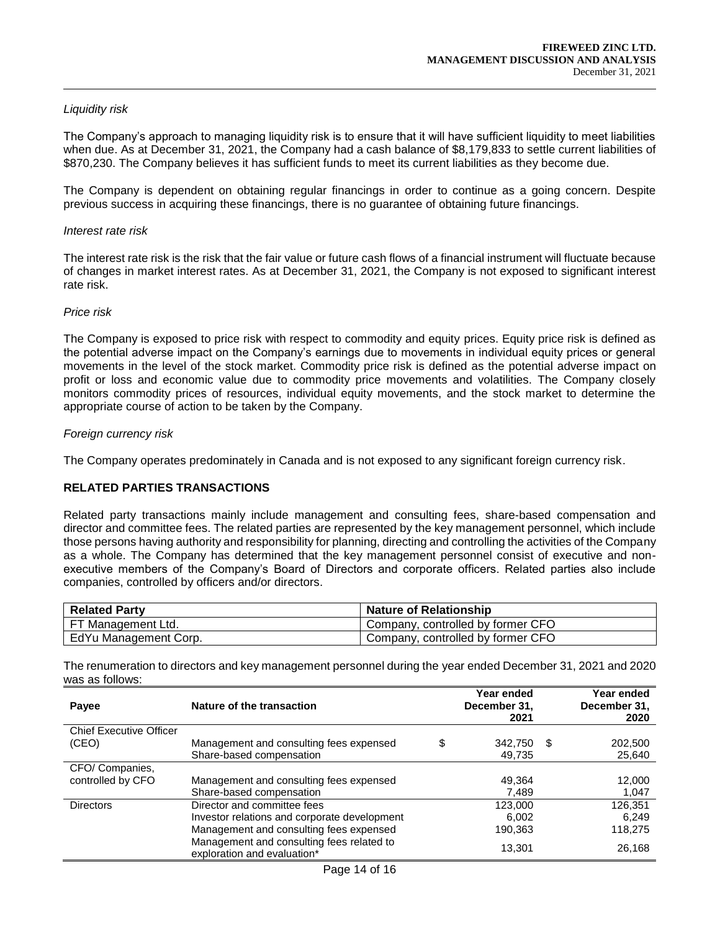## *Liquidity risk*

The Company's approach to managing liquidity risk is to ensure that it will have sufficient liquidity to meet liabilities when due. As at December 31, 2021, the Company had a cash balance of \$8,179,833 to settle current liabilities of \$870,230. The Company believes it has sufficient funds to meet its current liabilities as they become due.

The Company is dependent on obtaining regular financings in order to continue as a going concern. Despite previous success in acquiring these financings, there is no guarantee of obtaining future financings.

#### *Interest rate risk*

The interest rate risk is the risk that the fair value or future cash flows of a financial instrument will fluctuate because of changes in market interest rates. As at December 31, 2021, the Company is not exposed to significant interest rate risk.

#### *Price risk*

The Company is exposed to price risk with respect to commodity and equity prices. Equity price risk is defined as the potential adverse impact on the Company's earnings due to movements in individual equity prices or general movements in the level of the stock market. Commodity price risk is defined as the potential adverse impact on profit or loss and economic value due to commodity price movements and volatilities. The Company closely monitors commodity prices of resources, individual equity movements, and the stock market to determine the appropriate course of action to be taken by the Company.

#### *Foreign currency risk*

The Company operates predominately in Canada and is not exposed to any significant foreign currency risk.

# **RELATED PARTIES TRANSACTIONS**

Related party transactions mainly include management and consulting fees, share-based compensation and director and committee fees. The related parties are represented by the key management personnel, which include those persons having authority and responsibility for planning, directing and controlling the activities of the Company as a whole. The Company has determined that the key management personnel consist of executive and nonexecutive members of the Company's Board of Directors and corporate officers. Related parties also include companies, controlled by officers and/or directors.

| <b>Related Party</b>  | Nature of Relationship            |
|-----------------------|-----------------------------------|
| FT Management Ltd.    | Company, controlled by former CFO |
| EdYu Management Corp. | Company, controlled by former CFO |

The renumeration to directors and key management personnel during the year ended December 31, 2021 and 2020 was as follows:

| Payee                          | Nature of the transaction                                                | Year ended<br>December 31,<br>2021 |   | Year ended<br>December 31,<br>2020 |
|--------------------------------|--------------------------------------------------------------------------|------------------------------------|---|------------------------------------|
| <b>Chief Executive Officer</b> |                                                                          |                                    |   |                                    |
| (CEO)                          | Management and consulting fees expensed                                  | \$<br>342,750                      | S | 202,500                            |
|                                | Share-based compensation                                                 | 49.735                             |   | 25,640                             |
| CFO/ Companies,                |                                                                          |                                    |   |                                    |
| controlled by CFO              | Management and consulting fees expensed                                  | 49,364                             |   | 12,000                             |
|                                | Share-based compensation                                                 | 7,489                              |   | 1,047                              |
| <b>Directors</b>               | Director and committee fees                                              | 123,000                            |   | 126,351                            |
|                                | Investor relations and corporate development                             | 6.002                              |   | 6.249                              |
|                                | Management and consulting fees expensed                                  | 190,363                            |   | 118,275                            |
|                                | Management and consulting fees related to<br>exploration and evaluation* | 13,301                             |   | 26,168                             |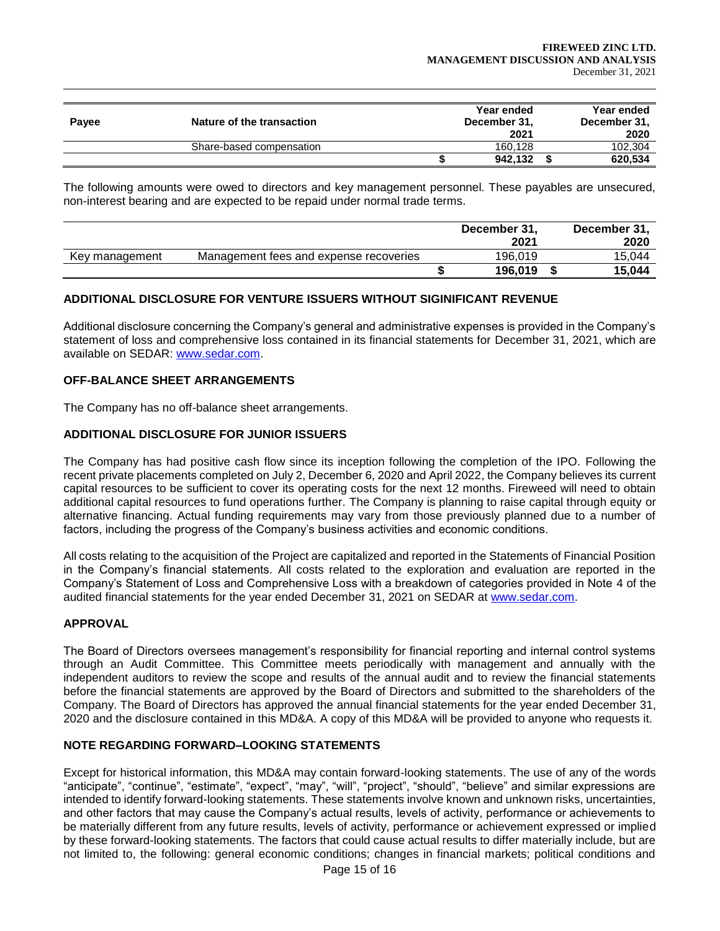| Payee | Nature of the transaction | Year ended<br>December 31,<br>2021 | Year ended<br>December 31,<br>2020 |
|-------|---------------------------|------------------------------------|------------------------------------|
|       | Share-based compensation  | 160.128                            | 102.304                            |
|       |                           | 942,132                            | 620,534                            |

The following amounts were owed to directors and key management personnel. These payables are unsecured, non-interest bearing and are expected to be repaid under normal trade terms.

|                |                                        | December 31,<br>2021 | December 31,<br>2020 |
|----------------|----------------------------------------|----------------------|----------------------|
| Key management | Management fees and expense recoveries | 196.019              | 15.044               |
|                |                                        | 196.019              | 15.044               |

# **ADDITIONAL DISCLOSURE FOR VENTURE ISSUERS WITHOUT SIGINIFICANT REVENUE**

Additional disclosure concerning the Company's general and administrative expenses is provided in the Company's statement of loss and comprehensive loss contained in its financial statements for December 31, 2021, which are available on SEDAR: [www.sedar.com.](about:blank)

## **OFF-BALANCE SHEET ARRANGEMENTS**

The Company has no off-balance sheet arrangements.

### **ADDITIONAL DISCLOSURE FOR JUNIOR ISSUERS**

The Company has had positive cash flow since its inception following the completion of the IPO. Following the recent private placements completed on July 2, December 6, 2020 and April 2022, the Company believes its current capital resources to be sufficient to cover its operating costs for the next 12 months. Fireweed will need to obtain additional capital resources to fund operations further. The Company is planning to raise capital through equity or alternative financing. Actual funding requirements may vary from those previously planned due to a number of factors, including the progress of the Company's business activities and economic conditions.

All costs relating to the acquisition of the Project are capitalized and reported in the Statements of Financial Position in the Company's financial statements. All costs related to the exploration and evaluation are reported in the Company's Statement of Loss and Comprehensive Loss with a breakdown of categories provided in Note 4 of the audited financial statements for the year ended December 31, 2021 on SEDAR at [www.sedar.com.](about:blank)

### **APPROVAL**

The Board of Directors oversees management's responsibility for financial reporting and internal control systems through an Audit Committee. This Committee meets periodically with management and annually with the independent auditors to review the scope and results of the annual audit and to review the financial statements before the financial statements are approved by the Board of Directors and submitted to the shareholders of the Company. The Board of Directors has approved the annual financial statements for the year ended December 31, 2020 and the disclosure contained in this MD&A. A copy of this MD&A will be provided to anyone who requests it.

### **NOTE REGARDING FORWARD–LOOKING STATEMENTS**

Except for historical information, this MD&A may contain forward-looking statements. The use of any of the words "anticipate", "continue", "estimate", "expect", "may", "will", "project", "should", "believe" and similar expressions are intended to identify forward-looking statements. These statements involve known and unknown risks, uncertainties, and other factors that may cause the Company's actual results, levels of activity, performance or achievements to be materially different from any future results, levels of activity, performance or achievement expressed or implied by these forward-looking statements. The factors that could cause actual results to differ materially include, but are not limited to, the following: general economic conditions; changes in financial markets; political conditions and